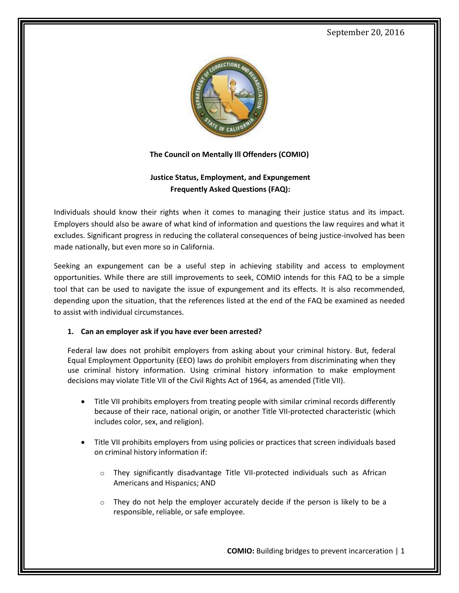

**The Council on Mentally Ill Offenders (COMIO)**

# **Justice Status, Employment, and Expungement Frequently Asked Questions (FAQ):**

Individuals should know their rights when it comes to managing their justice status and its impact. Employers should also be aware of what kind of information and questions the law requires and what it excludes. Significant progress in reducing the collateral consequences of being justice-involved has been made nationally, but even more so in California.

Seeking an expungement can be a useful step in achieving stability and access to employment opportunities. While there are still improvements to seek, COMIO intends for this FAQ to be a simple tool that can be used to navigate the issue of expungement and its effects. It is also recommended, depending upon the situation, that the references listed at the end of the FAQ be examined as needed to assist with individual circumstances.

### **1. Can an employer ask if you have ever been arrested?**

Federal law does not prohibit employers from asking about your criminal history. But, federal Equal Employment Opportunity (EEO) laws do prohibit employers from discriminating when they use criminal history information. Using criminal history information to make employment decisions may violate Title VII of the Civil Rights Act of 1964, as amended (Title VII).

- Title VII prohibits employers from treating people with similar criminal records differently because of their race, national origin, or another Title VII-protected characteristic (which includes color, sex, and religion).
- Title VII prohibits employers from using policies or practices that screen individuals based on criminal history information if:
	- o They significantly disadvantage Title VII-protected individuals such as African Americans and Hispanics; AND
	- $\circ$  They do not help the employer accurately decide if the person is likely to be a responsible, reliable, or safe employee.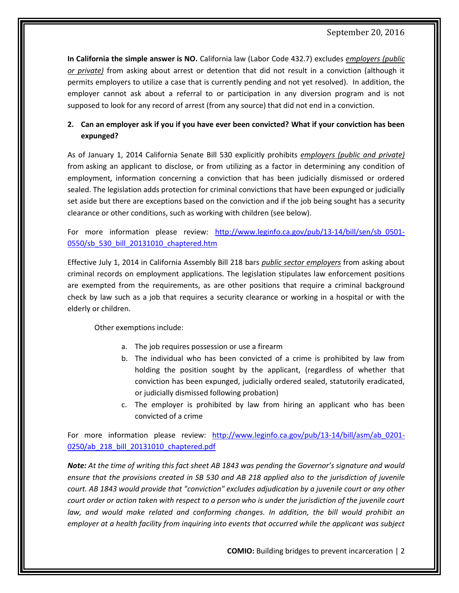**In California the simple answer is NO.** California law (Labor Code 432.7) excludes *employers (public or private)* from asking about arrest or detention that did not result in a conviction (although it permits employers to utilize a case that is currently pending and not yet resolved). In addition, the employer cannot ask about a referral to or participation in any diversion program and is not supposed to look for any record of arrest (from any source) that did not end in a conviction.

# **2. Can an employer ask if you if you have ever been convicted? What if your conviction has been expunged?**

As of January 1, 2014 California Senate Bill 530 explicitly prohibits *employers (public and private)* from asking an applicant to disclose, or from utilizing as a factor in determining any condition of employment, information concerning a conviction that has been judicially dismissed or ordered sealed. The legislation adds protection for criminal convictions that have been expunged or judicially set aside but there are exceptions based on the conviction and if the job being sought has a security clearance or other conditions, such as working with children (see below).

For more information please review: [http://www.leginfo.ca.gov/pub/13-14/bill/sen/sb\\_0501-](http://www.leginfo.ca.gov/pub/13-14/bill/sen/sb_0501-0550/sb_530_bill_20131010_chaptered.htm) [0550/sb\\_530\\_bill\\_20131010\\_chaptered.htm](http://www.leginfo.ca.gov/pub/13-14/bill/sen/sb_0501-0550/sb_530_bill_20131010_chaptered.htm)

Effective July 1, 2014 in California Assembly Bill 218 bars *public sector employers* from asking about criminal records on employment applications. The legislation stipulates law enforcement positions are exempted from the requirements, as are other positions that require a criminal background check by law such as a job that requires a security clearance or working in a hospital or with the elderly or children.

Other exemptions include:

- a. The job requires possession or use a firearm
- b. The individual who has been convicted of a crime is prohibited by law from holding the position sought by the applicant, (regardless of whether that conviction has been expunged, judicially ordered sealed, statutorily eradicated, or judicially dismissed following probation)
- c. The employer is prohibited by law from hiring an applicant who has been convicted of a crime

For more information please review: http://www.leginfo.ca.gov/pub/13-14/bill/asm/ab 0201-[0250/ab\\_218\\_bill\\_20131010\\_chaptered.pdf](http://www.leginfo.ca.gov/pub/13-14/bill/asm/ab_0201-0250/ab_218_bill_20131010_chaptered.pdf)

*Note: At the time of writing this fact sheet AB 1843 was pending the Governor's signature and would ensure that the provisions created in SB 530 and AB 218 applied also to the jurisdiction of juvenile court. AB 1843 would provide that "conviction" excludes adjudication by a juvenile court or any other court order or action taken with respect to a person who is under the jurisdiction of the juvenile court law, and would make related and conforming changes. In addition, the bill would prohibit an employer at a health facility from inquiring into events that occurred while the applicant was subject*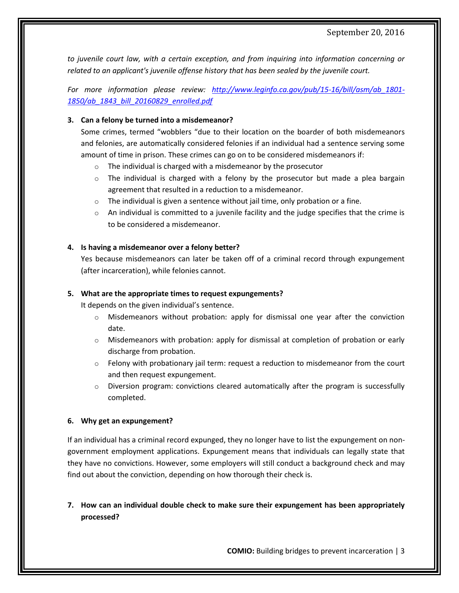*to juvenile court law, with a certain exception, and from inquiring into information concerning or related to an applicant's juvenile offense history that has been sealed by the juvenile court.* 

*For more information please review: [http://www.leginfo.ca.gov/pub/15-16/bill/asm/ab\\_1801-](http://www.leginfo.ca.gov/pub/15-16/bill/asm/ab_1801-1850/ab_1843_bill_20160829_enrolled.pdf) [1850/ab\\_1843\\_bill\\_20160829\\_enrolled.pdf](http://www.leginfo.ca.gov/pub/15-16/bill/asm/ab_1801-1850/ab_1843_bill_20160829_enrolled.pdf)*

#### **3. Can a felony be turned into a misdemeanor?**

Some crimes, termed "wobblers "due to their location on the boarder of both misdemeanors and felonies, are automatically considered felonies if an individual had a sentence serving some amount of time in prison. These crimes can go on to be considered misdemeanors if:

- o The individual is charged with a misdemeanor by the prosecutor
- $\circ$  The individual is charged with a felony by the prosecutor but made a plea bargain agreement that resulted in a reduction to a misdemeanor.
- $\circ$  The individual is given a sentence without jail time, only probation or a fine.
- $\circ$  An individual is committed to a juvenile facility and the judge specifies that the crime is to be considered a misdemeanor.

### **4. Is having a misdemeanor over a felony better?**

Yes because misdemeanors can later be taken off of a criminal record through expungement (after incarceration), while felonies cannot.

### **5. What are the appropriate times to request expungements?**

It depends on the given individual's sentence.

- $\circ$  Misdemeanors without probation: apply for dismissal one year after the conviction date.
- $\circ$  Misdemeanors with probation: apply for dismissal at completion of probation or early discharge from probation.
- Felony with probationary jail term: request a reduction to misdemeanor from the court and then request expungement.
- $\circ$  Diversion program: convictions cleared automatically after the program is successfully completed.

#### **6. Why get an expungement?**

If an individual has a criminal record expunged, they no longer have to list the expungement on nongovernment employment applications. Expungement means that individuals can legally state that they have no convictions. However, some employers will still conduct a background check and may find out about the conviction, depending on how thorough their check is.

**7. How can an individual double check to make sure their expungement has been appropriately processed?**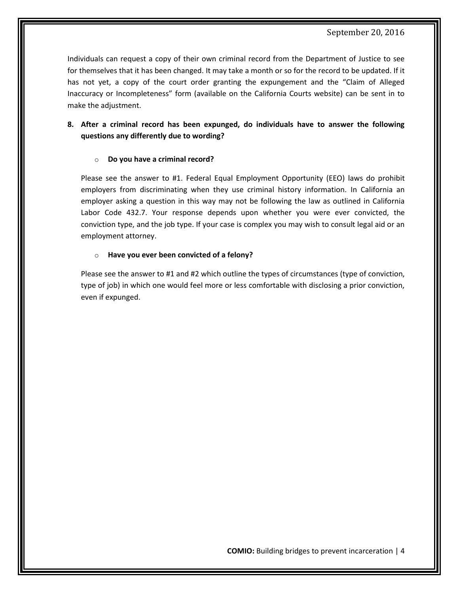Individuals can request a copy of their own criminal record from the Department of Justice to see for themselves that it has been changed. It may take a month or so for the record to be updated. If it has not yet, a copy of the court order granting the expungement and the "Claim of Alleged Inaccuracy or Incompleteness" form (available on the California Courts website) can be sent in to make the adjustment.

## **8. After a criminal record has been expunged, do individuals have to answer the following questions any differently due to wording?**

#### o **Do you have a criminal record?**

Please see the answer to #1. Federal Equal Employment Opportunity (EEO) laws do prohibit employers from discriminating when they use criminal history information. In California an employer asking a question in this way may not be following the law as outlined in California Labor Code 432.7. Your response depends upon whether you were ever convicted, the conviction type, and the job type. If your case is complex you may wish to consult legal aid or an employment attorney.

#### o **Have you ever been convicted of a felony?**

Please see the answer to #1 and #2 which outline the types of circumstances (type of conviction, type of job) in which one would feel more or less comfortable with disclosing a prior conviction, even if expunged.